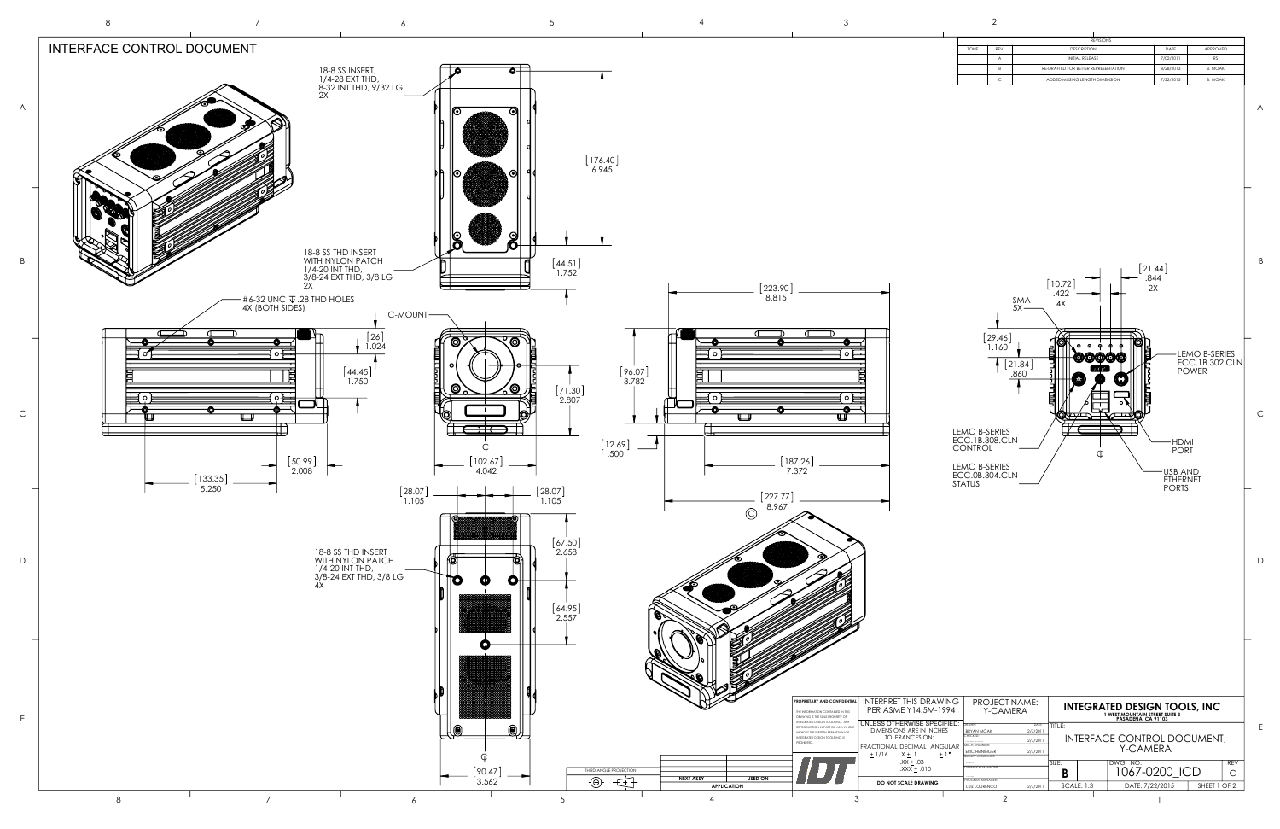

| <b>REVISIONS</b> |      |                                      |           |                |
|------------------|------|--------------------------------------|-----------|----------------|
| ZONE             | REV. | <b>DESCRIPTION</b>                   | DATE      | APPROVED       |
|                  | Α    | INITIAL RELEASE                      | 7/02/2011 | <b>RS</b>      |
|                  | R    | RE-DRAFTED FOR BETTER REPRESENTATION | 8/28/2013 | <b>B. MOAK</b> |
|                  | C    | ADDED MISSING LENGTH DIMENSION       | 7/22/2015 | <b>B. MOAK</b> |